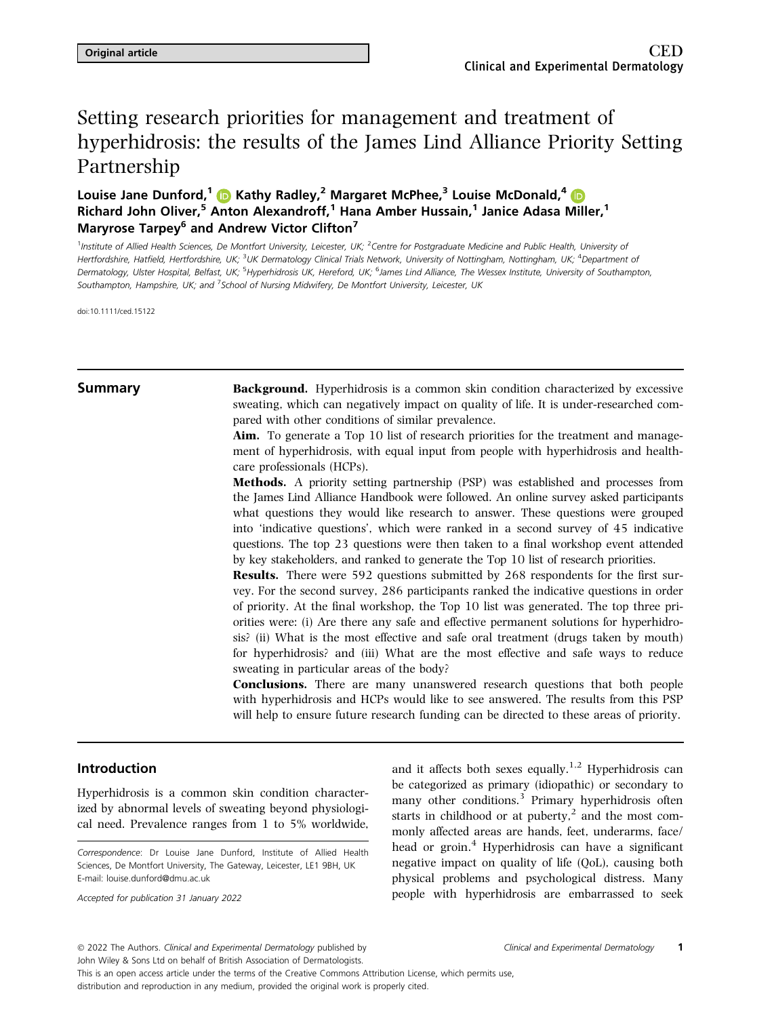# Setting research priorities for management and treatment of hyperhidrosis: the results of the James Lind Alliance Priority Setting Partnership

Louise Jane Dunford,<sup>1</sup> C Kathy Radley,<sup>2</sup> Margaret McPhee,<sup>3</sup> Louise McDonald,<sup>[4](https://orcid.org/0000-0002-8091-7497)</sup> C Richard John Oliver,<sup>5</sup> Anton Alexandroff,<sup>1</sup> Hana Amber Hussain,<sup>1</sup> Janice Adasa Miller,<sup>1</sup> Maryrose Tarpey<sup>6</sup> and Andrew Victor Clifton<sup>7</sup>

<sup>1</sup>Institute of Allied Health Sciences, De Montfort University, Leicester, UK; <sup>2</sup>Centre for Postgraduate Medicine and Public Health, University of Hertfordshire, Hatfield, Hertfordshire, UK; <sup>3</sup>UK Dermatology Clinical Trials Network, University of Nottingham, Nottingham, UK; <sup>4</sup>Department of Dermatology, Ulster Hospital, Belfast, UK; <sup>5</sup>Hyperhidrosis UK, Hereford, UK; <sup>6</sup>James Lind Alliance, The Wessex Institute, University of Southampton, Southampton, Hampshire, UK; and <sup>7</sup>School of Nursing Midwifery, De Montfort University, Leicester, UK

doi:10.1111/ced.15122

**Summary** Background. Hyperhidrosis is a common skin condition characterized by excessive sweating, which can negatively impact on quality of life. It is under-researched compared with other conditions of similar prevalence.

> Aim. To generate a Top 10 list of research priorities for the treatment and management of hyperhidrosis, with equal input from people with hyperhidrosis and healthcare professionals (HCPs).

> Methods. A priority setting partnership (PSP) was established and processes from the James Lind Alliance Handbook were followed. An online survey asked participants what questions they would like research to answer. These questions were grouped into 'indicative questions', which were ranked in a second survey of 45 indicative questions. The top 23 questions were then taken to a final workshop event attended by key stakeholders, and ranked to generate the Top 10 list of research priorities.

> Results. There were 592 questions submitted by 268 respondents for the first survey. For the second survey, 286 participants ranked the indicative questions in order of priority. At the final workshop, the Top 10 list was generated. The top three priorities were: (i) Are there any safe and effective permanent solutions for hyperhidrosis? (ii) What is the most effective and safe oral treatment (drugs taken by mouth) for hyperhidrosis? and (iii) What are the most effective and safe ways to reduce sweating in particular areas of the body?

> Conclusions. There are many unanswered research questions that both people with hyperhidrosis and HCPs would like to see answered. The results from this PSP will help to ensure future research funding can be directed to these areas of priority.

# Introduction

Hyperhidrosis is a common skin condition characterized by abnormal levels of sweating beyond physiological need. Prevalence ranges from 1 to 5% worldwide,

Accepted for publication 31 January 2022

and it affects both sexes equally.<sup>1,2</sup> Hyperhidrosis can be categorized as primary (idiopathic) or secondary to many other conditions.<sup>3</sup> Primary hyperhidrosis often starts in childhood or at puberty,<sup>2</sup> and the most commonly affected areas are hands, feet, underarms, face/ head or groin. $4$  Hyperhidrosis can have a significant negative impact on quality of life (QoL), causing both physical problems and psychological distress. Many people with hyperhidrosis are embarrassed to seek

This is an open access article under the terms of the Creative Commons Attribution License, which permits use,

Correspondence: Dr Louise Jane Dunford, Institute of Allied Health Sciences, De Montfort University, The Gateway, Leicester, LE1 9BH, UK E-mail: [louise.dunford@dmu.ac.uk](mailto:)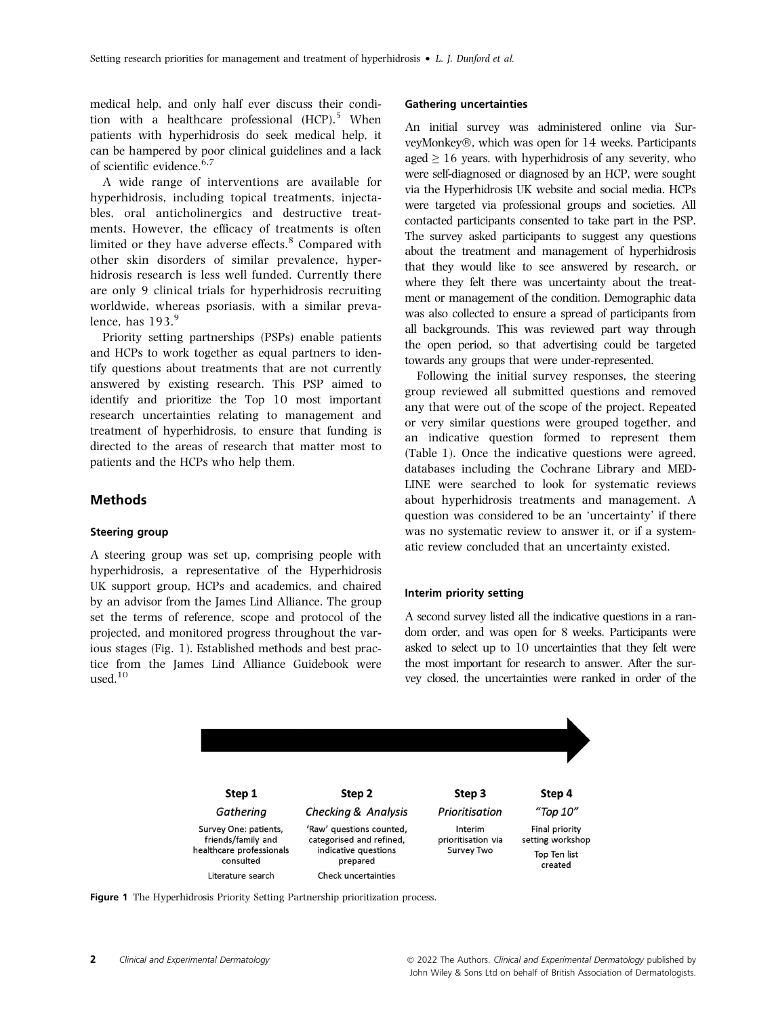medical help, and only half ever discuss their condition with a healthcare professional  $(HCP)$ <sup>5</sup> When patients with hyperhidrosis do seek medical help, it can be hampered by poor clinical guidelines and a lack of scientific evidence.<sup>6,7</sup>

A wide range of interventions are available for hyperhidrosis, including topical treatments, injectables, oral anticholinergics and destructive treatments. However, the efficacy of treatments is often limited or they have adverse effects.<sup>8</sup> Compared with other skin disorders of similar prevalence, hyperhidrosis research is less well funded. Currently there are only 9 clinical trials for hyperhidrosis recruiting worldwide, whereas psoriasis, with a similar prevalence, has  $193.<sup>9</sup>$ 

Priority setting partnerships (PSPs) enable patients and HCPs to work together as equal partners to identify questions about treatments that are not currently answered by existing research. This PSP aimed to identify and prioritize the Top 10 most important research uncertainties relating to management and treatment of hyperhidrosis, to ensure that funding is directed to the areas of research that matter most to patients and the HCPs who help them.

#### Methods

#### Steering group

A steering group was set up, comprising people with hyperhidrosis, a representative of the Hyperhidrosis UK support group, HCPs and academics, and chaired by an advisor from the James Lind Alliance. The group set the terms of reference, scope and protocol of the projected, and monitored progress throughout the various stages (Fig. 1). Established methods and best practice from the James Lind Alliance Guidebook were used.<sup>10</sup>

#### Gathering uncertainties

An initial survey was administered online via SurveyMonkey®, which was open for 14 weeks. Participants aged  $\geq 16$  years, with hyperhidrosis of any severity, who were self-diagnosed or diagnosed by an HCP, were sought via the Hyperhidrosis UK website and social media. HCPs were targeted via professional groups and societies. All contacted participants consented to take part in the PSP. The survey asked participants to suggest any questions about the treatment and management of hyperhidrosis that they would like to see answered by research, or where they felt there was uncertainty about the treatment or management of the condition. Demographic data was also collected to ensure a spread of participants from all backgrounds. This was reviewed part way through the open period, so that advertising could be targeted towards any groups that were under-represented.

Following the initial survey responses, the steering group reviewed all submitted questions and removed any that were out of the scope of the project. Repeated or very similar questions were grouped together, and an indicative question formed to represent them (Table 1). Once the indicative questions were agreed, databases including the Cochrane Library and MED-LINE were searched to look for systematic reviews about hyperhidrosis treatments and management. A question was considered to be an 'uncertainty' if there was no systematic review to answer it, or if a systematic review concluded that an uncertainty existed.

## Interim priority setting

A second survey listed all the indicative questions in a random order, and was open for 8 weeks. Participants were asked to select up to 10 uncertainties that they felt were the most important for research to answer. After the survey closed, the uncertainties were ranked in order of the



Figure 1 The Hyperhidrosis Priority Setting Partnership prioritization process.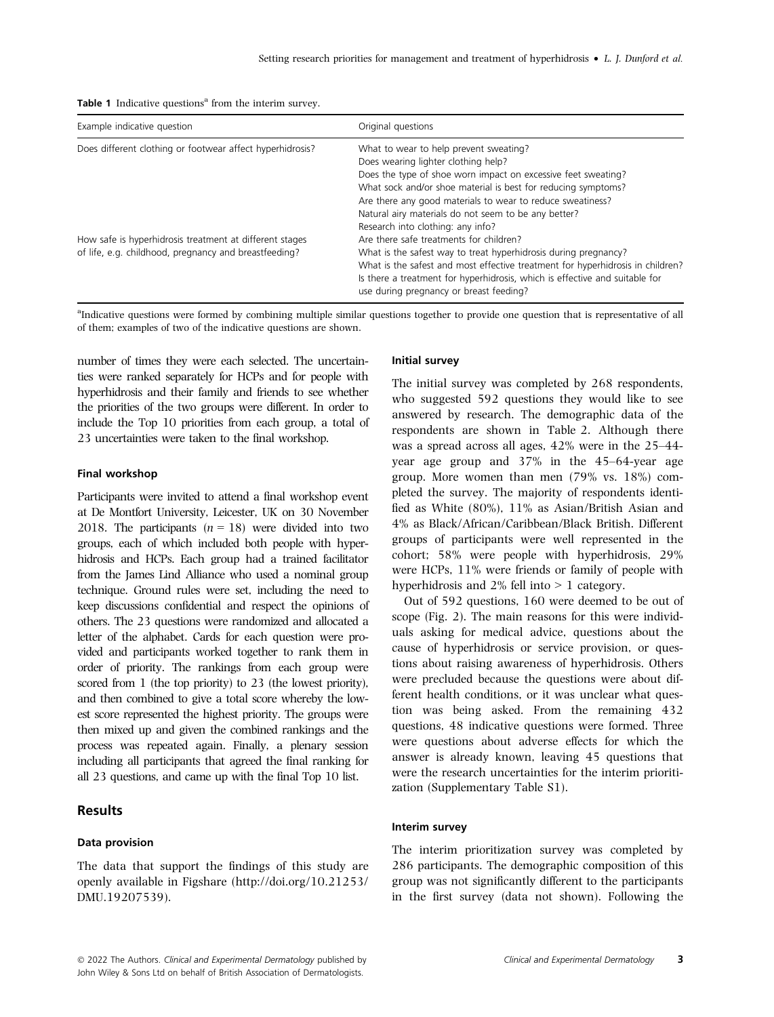|  | <b>Table 1</b> Indicative questions <sup>a</sup> from the interim survey. |  |  |  |  |  |
|--|---------------------------------------------------------------------------|--|--|--|--|--|
|--|---------------------------------------------------------------------------|--|--|--|--|--|

| Example indicative question                               | Original questions                                                                                                                                                                                       |  |  |
|-----------------------------------------------------------|----------------------------------------------------------------------------------------------------------------------------------------------------------------------------------------------------------|--|--|
| Does different clothing or footwear affect hyperhidrosis? | What to wear to help prevent sweating?                                                                                                                                                                   |  |  |
|                                                           | Does wearing lighter clothing help?                                                                                                                                                                      |  |  |
|                                                           | Does the type of shoe worn impact on excessive feet sweating?                                                                                                                                            |  |  |
|                                                           | What sock and/or shoe material is best for reducing symptoms?                                                                                                                                            |  |  |
|                                                           | Are there any good materials to wear to reduce sweatiness?                                                                                                                                               |  |  |
|                                                           | Natural airy materials do not seem to be any better?                                                                                                                                                     |  |  |
|                                                           | Research into clothing: any info?                                                                                                                                                                        |  |  |
| How safe is hyperhidrosis treatment at different stages   | Are there safe treatments for children?                                                                                                                                                                  |  |  |
| of life, e.g. childhood, pregnancy and breastfeeding?     | What is the safest way to treat hyperhidrosis during pregnancy?                                                                                                                                          |  |  |
|                                                           | What is the safest and most effective treatment for hyperhidrosis in children?<br>Is there a treatment for hyperhidrosis, which is effective and suitable for<br>use during pregnancy or breast feeding? |  |  |

<sup>a</sup>Indicative questions were formed by combining multiple similar questions together to provide one question that is representative of all of them; examples of two of the indicative questions are shown.

number of times they were each selected. The uncertainties were ranked separately for HCPs and for people with hyperhidrosis and their family and friends to see whether the priorities of the two groups were different. In order to include the Top 10 priorities from each group, a total of 23 uncertainties were taken to the final workshop.

#### Final workshop

Participants were invited to attend a final workshop event at De Montfort University, Leicester, UK on 30 November 2018. The participants  $(n = 18)$  were divided into two groups, each of which included both people with hyperhidrosis and HCPs. Each group had a trained facilitator from the James Lind Alliance who used a nominal group technique. Ground rules were set, including the need to keep discussions confidential and respect the opinions of others. The 23 questions were randomized and allocated a letter of the alphabet. Cards for each question were provided and participants worked together to rank them in order of priority. The rankings from each group were scored from 1 (the top priority) to 23 (the lowest priority), and then combined to give a total score whereby the lowest score represented the highest priority. The groups were then mixed up and given the combined rankings and the process was repeated again. Finally, a plenary session including all participants that agreed the final ranking for all 23 questions, and came up with the final Top 10 list.

# Results

### Data provision

The data that support the findings of this study are openly available in Figshare [\(http://doi.org/10.21253/](http://doi.org/10.21253/DMU.19207539) [DMU.19207539](http://doi.org/10.21253/DMU.19207539)).

#### Initial survey

The initial survey was completed by 268 respondents, who suggested 592 questions they would like to see answered by research. The demographic data of the respondents are shown in Table 2. Although there was a spread across all ages, 42% were in the 25–44 year age group and 37% in the 45–64-year age group. More women than men (79% vs. 18%) completed the survey. The majority of respondents identified as White (80%), 11% as Asian/British Asian and 4% as Black/African/Caribbean/Black British. Different groups of participants were well represented in the cohort; 58% were people with hyperhidrosis, 29% were HCPs, 11% were friends or family of people with hyperhidrosis and 2% fell into > 1 category.

Out of 592 questions, 160 were deemed to be out of scope (Fig. 2). The main reasons for this were individuals asking for medical advice, questions about the cause of hyperhidrosis or service provision, or questions about raising awareness of hyperhidrosis. Others were precluded because the questions were about different health conditions, or it was unclear what question was being asked. From the remaining 432 questions, 48 indicative questions were formed. Three were questions about adverse effects for which the answer is already known, leaving 45 questions that were the research uncertainties for the interim prioritization (Supplementary Table S1).

## Interim survey

The interim prioritization survey was completed by 286 participants. The demographic composition of this group was not significantly different to the participants in the first survey (data not shown). Following the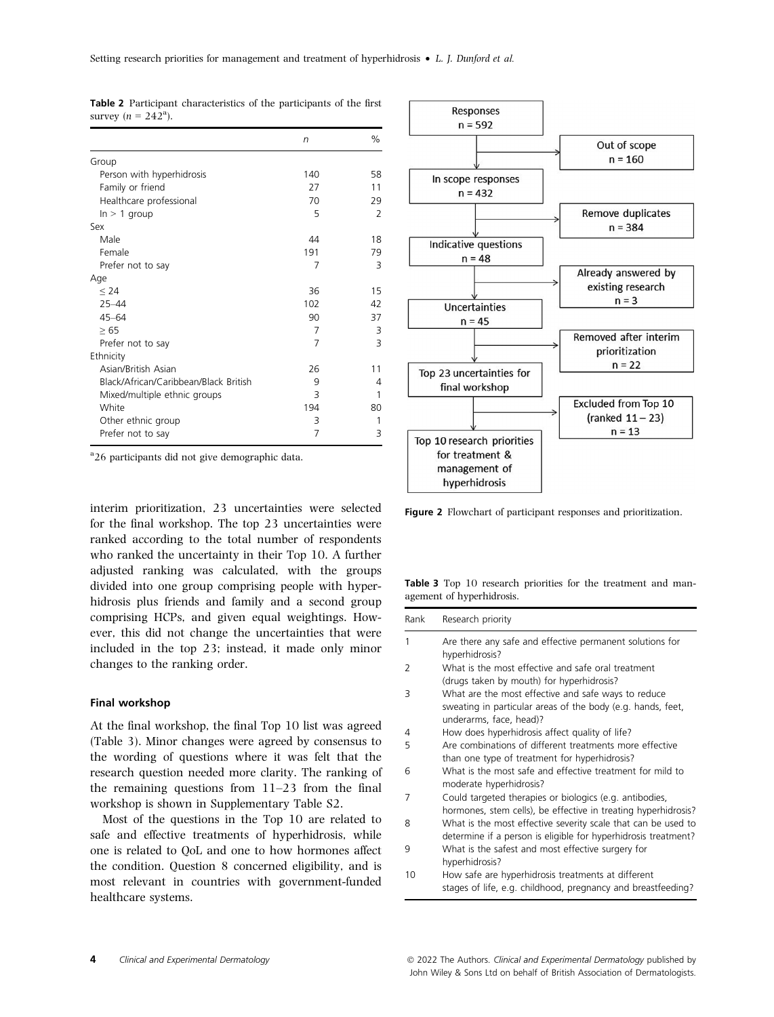|                                       | $\sqrt{n}$ | %              |
|---------------------------------------|------------|----------------|
| Group                                 |            |                |
| Person with hyperhidrosis             | 140        | 58             |
| Family or friend                      | 27         | 11             |
| Healthcare professional               | 70         | 29             |
| $ln > 1$ group                        | 5          | $\overline{2}$ |
| Sex                                   |            |                |
| Male                                  | 44         | 18             |
| Female                                | 191        | 79             |
| Prefer not to say                     | 7          | 3              |
| Age                                   |            |                |
| < 24                                  | 36         | 15             |
| $25 - 44$                             | 102        | 42             |
| $45 - 64$                             | 90         | 37             |
| >65                                   | 7          | 3              |
| Prefer not to say                     | 7          | 3              |
| Ethnicity                             |            |                |
| Asian/British Asian                   | 26         | 11             |
| Black/African/Caribbean/Black British | 9          | 4              |
| Mixed/multiple ethnic groups          | 3          | 1              |
| White                                 | 194        | 80             |
| Other ethnic group                    | 3          | 1              |
| Prefer not to say                     | 7          | 3              |

Table 2 Participant characteristics of the participants of the first survey  $(n = 242^{\circ})$ .

<sup>a</sup>26 participants did not give demographic data.

interim prioritization, 23 uncertainties were selected for the final workshop. The top 23 uncertainties were ranked according to the total number of respondents who ranked the uncertainty in their Top 10. A further adjusted ranking was calculated, with the groups divided into one group comprising people with hyperhidrosis plus friends and family and a second group comprising HCPs, and given equal weightings. However, this did not change the uncertainties that were included in the top 23; instead, it made only minor changes to the ranking order.

#### Final workshop

At the final workshop, the final Top 10 list was agreed (Table 3). Minor changes were agreed by consensus to the wording of questions where it was felt that the research question needed more clarity. The ranking of the remaining questions from 11–23 from the final workshop is shown in Supplementary Table S2.

Most of the questions in the Top 10 are related to safe and effective treatments of hyperhidrosis, while one is related to QoL and one to how hormones affect the condition. Question 8 concerned eligibility, and is most relevant in countries with government-funded healthcare systems.



Figure 2 Flowchart of participant responses and prioritization.

Table 3 Top 10 research priorities for the treatment and management of hyperhidrosis.

| Rank | Research priority                                                                                                                             |
|------|-----------------------------------------------------------------------------------------------------------------------------------------------|
| 1    | Are there any safe and effective permanent solutions for<br>hyperhidrosis?                                                                    |
| 2    | What is the most effective and safe oral treatment<br>(drugs taken by mouth) for hyperhidrosis?                                               |
| 3    | What are the most effective and safe ways to reduce<br>sweating in particular areas of the body (e.g. hands, feet,<br>underarms, face, head)? |
| 4    | How does hyperhidrosis affect quality of life?                                                                                                |
| 5    | Are combinations of different treatments more effective<br>than one type of treatment for hyperhidrosis?                                      |
| 6    | What is the most safe and effective treatment for mild to<br>moderate hyperhidrosis?                                                          |
| 7    | Could targeted therapies or biologics (e.g. antibodies,<br>hormones, stem cells), be effective in treating hyperhidrosis?                     |
| 8    | What is the most effective severity scale that can be used to<br>determine if a person is eligible for hyperhidrosis treatment?               |
| 9    | What is the safest and most effective surgery for<br>hyperhidrosis?                                                                           |
| 10   | How safe are hyperhidrosis treatments at different<br>stages of life, e.g. childhood, pregnancy and breastfeeding?                            |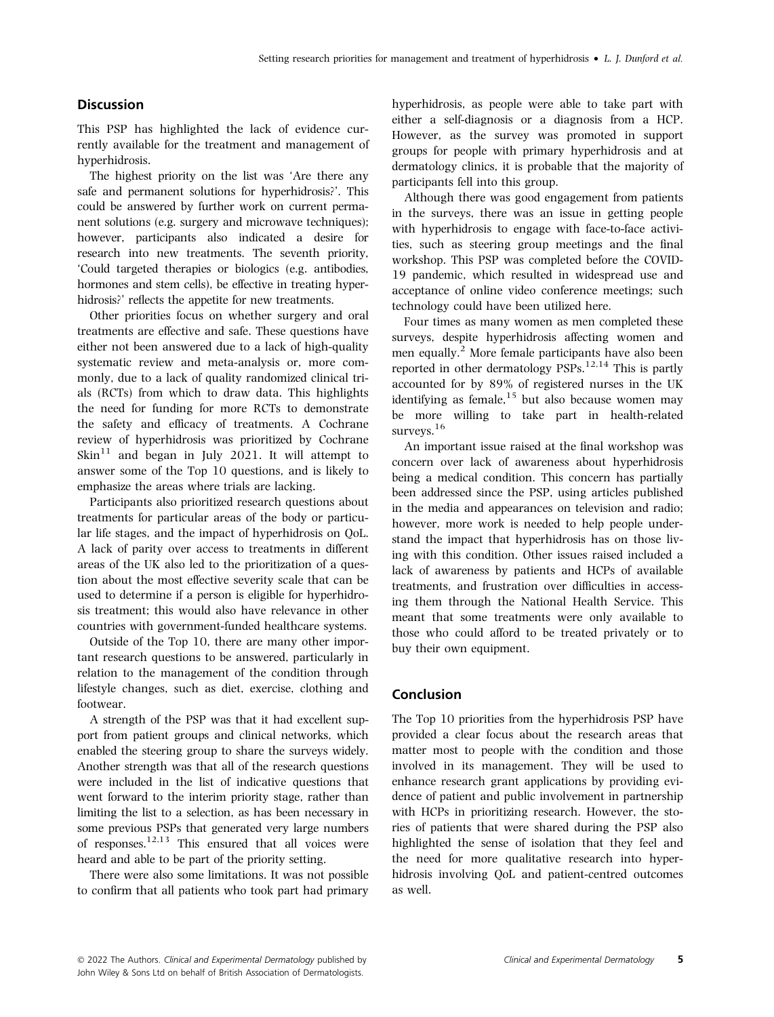# **Discussion**

This PSP has highlighted the lack of evidence currently available for the treatment and management of hyperhidrosis.

The highest priority on the list was 'Are there any safe and permanent solutions for hyperhidrosis?'. This could be answered by further work on current permanent solutions (e.g. surgery and microwave techniques); however, participants also indicated a desire for research into new treatments. The seventh priority, 'Could targeted therapies or biologics (e.g. antibodies, hormones and stem cells), be effective in treating hyperhidrosis?' reflects the appetite for new treatments.

Other priorities focus on whether surgery and oral treatments are effective and safe. These questions have either not been answered due to a lack of high-quality systematic review and meta-analysis or, more commonly, due to a lack of quality randomized clinical trials (RCTs) from which to draw data. This highlights the need for funding for more RCTs to demonstrate the safety and efficacy of treatments. A Cochrane review of hyperhidrosis was prioritized by Cochrane  $\mathrm{Skin}^{11}$  and began in July 2021. It will attempt to answer some of the Top 10 questions, and is likely to emphasize the areas where trials are lacking.

Participants also prioritized research questions about treatments for particular areas of the body or particular life stages, and the impact of hyperhidrosis on QoL. A lack of parity over access to treatments in different areas of the UK also led to the prioritization of a question about the most effective severity scale that can be used to determine if a person is eligible for hyperhidrosis treatment; this would also have relevance in other countries with government-funded healthcare systems.

Outside of the Top 10, there are many other important research questions to be answered, particularly in relation to the management of the condition through lifestyle changes, such as diet, exercise, clothing and footwear.

A strength of the PSP was that it had excellent support from patient groups and clinical networks, which enabled the steering group to share the surveys widely. Another strength was that all of the research questions were included in the list of indicative questions that went forward to the interim priority stage, rather than limiting the list to a selection, as has been necessary in some previous PSPs that generated very large numbers of responses.<sup>12,13</sup> This ensured that all voices were heard and able to be part of the priority setting.

There were also some limitations. It was not possible to confirm that all patients who took part had primary hyperhidrosis, as people were able to take part with either a self-diagnosis or a diagnosis from a HCP. However, as the survey was promoted in support groups for people with primary hyperhidrosis and at dermatology clinics, it is probable that the majority of participants fell into this group.

Although there was good engagement from patients in the surveys, there was an issue in getting people with hyperhidrosis to engage with face-to-face activities, such as steering group meetings and the final workshop. This PSP was completed before the COVID-19 pandemic, which resulted in widespread use and acceptance of online video conference meetings; such technology could have been utilized here.

Four times as many women as men completed these surveys, despite hyperhidrosis affecting women and men equally.<sup>2</sup> More female participants have also been reported in other dermatology  $PSPs$ <sup>12,14</sup> This is partly accounted for by 89% of registered nurses in the UK identifying as female,  $15$  but also because women may be more willing to take part in health-related surveys. $16$ 

An important issue raised at the final workshop was concern over lack of awareness about hyperhidrosis being a medical condition. This concern has partially been addressed since the PSP, using articles published in the media and appearances on television and radio; however, more work is needed to help people understand the impact that hyperhidrosis has on those living with this condition. Other issues raised included a lack of awareness by patients and HCPs of available treatments, and frustration over difficulties in accessing them through the National Health Service. This meant that some treatments were only available to those who could afford to be treated privately or to buy their own equipment.

#### Conclusion

The Top 10 priorities from the hyperhidrosis PSP have provided a clear focus about the research areas that matter most to people with the condition and those involved in its management. They will be used to enhance research grant applications by providing evidence of patient and public involvement in partnership with HCPs in prioritizing research. However, the stories of patients that were shared during the PSP also highlighted the sense of isolation that they feel and the need for more qualitative research into hyperhidrosis involving QoL and patient-centred outcomes as well.